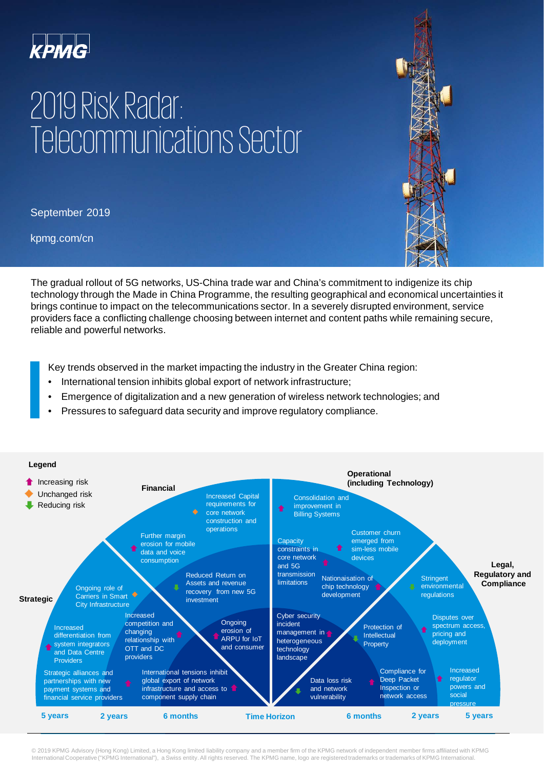

## 2019 Risk Radar: Telecommunications Sector

September 2019

kpmg.com/cn

The gradual rollout of 5G networks, US-China trade war and China's commitment to indigenize its chip technology through the Made in China Programme, the resulting geographical and economical uncertainties it brings continue to impact on the telecommunications sector. In a severely disrupted environment, service providers face a conflicting challenge choosing between internet and content paths while remaining secure, reliable and powerful networks.

Key trends observed in the market impacting the industry in the Greater China region:

- International tension inhibits global export of network infrastructure;
- Emergence of digitalization and a new generation of wireless network technologies; and
- Pressures to safeguard data security and improve regulatory compliance.



© 2019 KPMG Advisory (Hong Kong) Limited, a Hong Kong limited liability company and a member firm of the KPMG network of independent member firms affiliated with KPMG<br>International Cooperative ("KPMG International"), a Swi